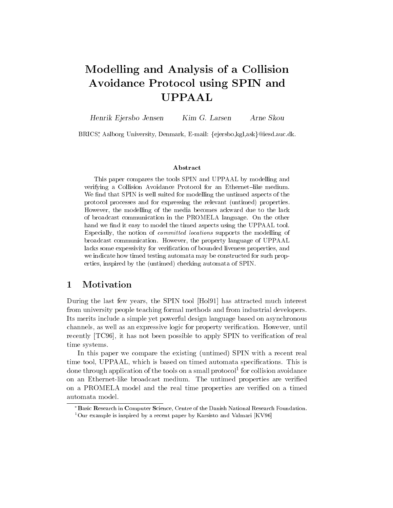# Modelling and Analysis of a Collision Avoidance Protocol using SPIN and UPPAAL

Henrik Ejersbo Jensen Kim G. Larsen Arne Skou

BRICS,\* Aalborg University, Denmark, E-mail: {ejersbo,kgl,ask}@iesd.auc.dk.

### Abstract

This paper compares the tools SPIN and UPPAAL by modelling and verifying a Collision Avoidance Protocol for an Ethernet-like medium. We find that SPIN is well suited for modelling the untimed aspects of the protocol processes and for expressing the relevant (untimed) properties. However, the modelling of the media becomes ackward due to the lack of broadcast communication in the PROMELA language. On the other hand we find it easy to model the timed aspects using the UPPAAL tool. Especially, the notion of committed locations supports the modelling of broadcast communication. However, the property language of UPPAAL lacks some expessivity for verification of bounded liveness properties, and we indicate how timed testing automata may be constructed for such properties, inspired by the (untimed) checking automata of SPIN.

#### $\mathbf 1$ 1 Motivation

During the last few years, the SPIN tool [Hol91] has attracted much interest from university people teaching formal methods and from industrial developers. Its merits include a simple yet powerful design language based on asynchronous channels, as well as an expressive logic for property verication. However, until recently [TC96], it has not been possible to apply SPIN to verification of real time systems.

In this paper we compare the existing (untimed) SPIN with a recent real time tool, UPPAAL, which is based on timed automata specifications. This is done through application of the tools on a small protocol<sup>-</sup> for collision avoidance on an Ethernet-like broadcast medium. The untimed properties are verified on a PROMELA model and the real time properties are veried on a timed automata model.

Basic Research in Computer Science, Centre of the Danish National Research Foundation. <sup>1</sup>Our example is inspired by a recent paper by Karsisto and Valmari [KV96]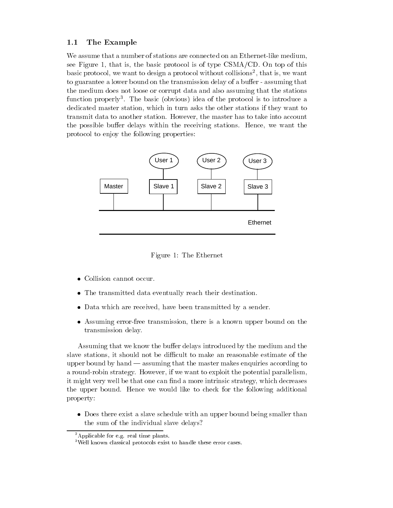### 1.1 The Example

We assume that a number of stations are connected on an Ethernet-like medium, see Figure 1, that is, the basic protocol is of type  $CSMA/CD$ . On top of this basic protocol, we want to design a protocol without collisions2 , that is, we want to guarantee a lower bound on the transmission delay of a buffer - assuming that the medium does not loose or corrupt data and also assuming that the stations function properly3 . The basic (obvious) idea of the protocol is to introduce a dedicated master station, which in turn asks the other stations if they want to transmit data to another station. However, the master has to take into account the possible buffer delays within the receiving stations. Hence, we want the protocol to enjoy the following properties:



Figure 1: The Ethernet

- Collision cannot occur.
- The transmitted data eventually reach their destination.
- Data which are received, have been transmitted by a sender.
- Assuming error-free transmission, there is a known upper bound on the transmission delay.

Assuming that we know the buffer delays introduced by the medium and the slave stations, it should not be difficult to make an reasonable estimate of the upper bound by hand  $-$  assuming that the master makes enquiries according to a round-robin strategy. However, if we want to exploit the potential parallelism, it might very well be that one can find a more intrinsic strategy, which decreases the upper bound. Hence we would like to check for the following additional property:

 Does there exist a slave schedule with an upper bound being smaller than the sum of the individual slave delays?

<sup>&</sup>lt;sup>2</sup>Applicable for e.g. real time plants.

<sup>3</sup>Well known classical protocols exist to handle these error cases.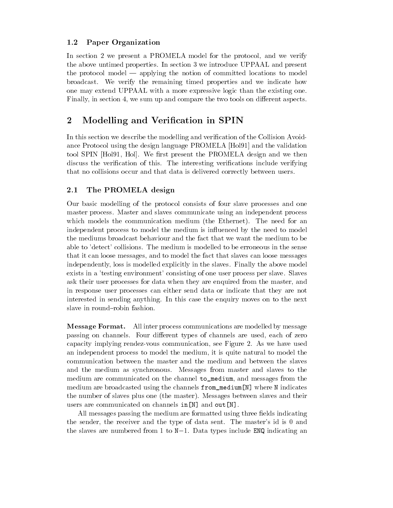## 1.2 Paper Organization

In section 2 we present a PROMELA model for the protocol, and we verify the above untimed properties. In section 3 we introduce UPPAAL and present the protocol model  $-$  applying the notion of committed locations to model broadcast. We verify the remaining timed properties and we indicate how one may extend UPPAAL with a more expressive logic than the existing one. Finally, in section 4, we sum up and compare the two tools on different aspects.

# 2 Modelling and Verication in SPIN

In this section we describe the modelling and verification of the Collision Avoidance Protocol using the design language PROMELA [Hol91] and the validation tool SPIN [Hol91, Hol]. We first present the PROMELA design and we then discuss the verification of this. The interesting verifications include verifying that no collisions occur and that data is delivered correctly between users.

# 2.1 The PROMELA design

Our basic modelling of the protocol consists of four slave processes and one master process. Master and slaves communicate using an independent process which models the communication medium (the Ethernet). The need for an independent process to model the medium is in
uenced by the need to model the mediums broadcast behaviour and the fact that we want the medium to be able to 'detect' collisions. The medium is modelled to be erroneous in the sense that it can loose messages, and to model the fact that slaves can loose messages independently, loss is modelled explicitly in the slaves. Finally the above model exists in a 'testing environment' consisting of one user process per slave. Slaves ask their user processes for data when they are enquired from the master, and in response user processes can either send data or indicate that they are not interested in sending anything. In this case the enquiry moves on to the next slave in round-robin fashion.

**Message Format.** All inter process communications are modelled by message passing on channels. Four different types of channels are used, each of zero capacity implying rendez-vous communication, see Figure 2. As we have used an independent process to model the medium, it is quite natural to model the communication between the master and the medium and between the slaves and the medium as synchronous. Messages from master and slaves to the medium are communicated on the channel to\_medium, and messages from the medium are broadcasted using the channels from\_medium[N] where N indicates the number of slaves plus one (the master). Messages between slaves and their users are communicated on channels in[N] and out[N].

All messages passing the medium are formatted using three fields indicating the sender, the receiver and the type of data sent. The master's id is 0 and the slaves are numbered from 1 to  $N-1$ . Data types include ENQ indicating an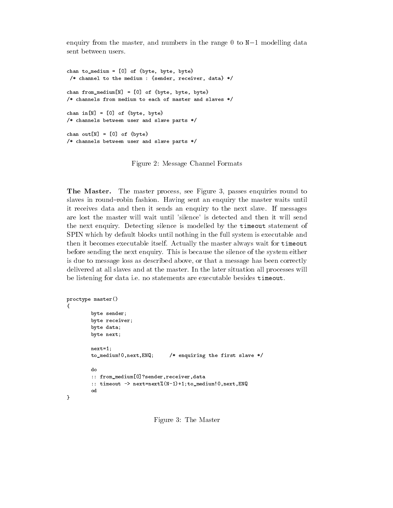enquiry from the master, and numbers in the range  $0$  to  $N-1$  modelling data sent between users.

```
chan to_medium = [0] of {byte, byte, byte}
 /* channel to the medium : {sender, receiver, data} */
chan from_medium[N] = [0] of {byte, byte, byte}
/* channels from medium to each of master and slaves */
chan information in the first between the contract of the contract of the contract of the contract of the contract of the contract of the contract of the contract of the contract of the contract of the contract of the cont
/* channels between user and slave parts */
chan outfield a contract of the contract of the contract of the contract of the contract of the contract of the contract of the contract of the contract of the contract of the contract of the contract of the contract of th
/* channels between user and slave parts */
```
Figure 2: Message Channel Formats

The Master. The master process, see Figure 3, passes enquiries round to slaves in round-robin fashion. Having sent an enquiry the master waits until it receives data and then it sends an enquiry to the next slave. If messages are lost the master will wait until 'silence' is detected and then it will send the next enquiry. Detecting silence is modelled by the timeout statement of SPIN which by default blocks until nothing in the full system is executable and then it becomes executable itself. Actually the master always wait for timeout before sending the next enquiry. This is because the silence of the system either is due to message loss as described above, or that a message has been correctly delivered at all slaves and at the master. In the later situation all processes will be listening for data i.e. no statements are executable besides timeout.

```
proctype master()
\overline{\phantom{a}}byte sender;
       byte receiver;
       byte data;
       b, c c next; c , dnext=1; /* enquiring the first slave */
       to_medium!0,next,ENQ;do
       do:: from_medium[0]?sender,receiver,data
       :: timeout -> next=next%(N-1)+1;to_medium!0,next,ENQ
       od}
```
Figure 3: The Master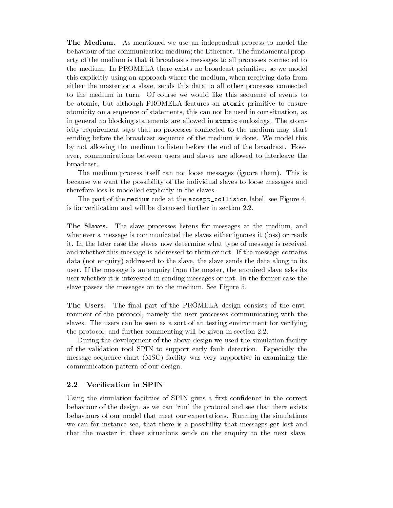The Medium. As mentioned we use an independent process to model the behaviour of the communication medium; the Ethernet. The fundamental property of the medium is that it broadcasts messages to all processes connected to the medium. In PROMELA there exists no broadcast primitive, so we model this explicitly using an approach where the medium, when receiving data from either the master or a slave, sends this data to all other processes connected to the medium in turn. Of course we would like this sequence of events to be atomic, but although PROMELA features an atomic primitive to ensure atomicity on a sequence of statements, this can not be used in our situation, as in general no blocking statements are allowed in atomic enclosings. The atomicity requirement says that no processes connected to the medium may start sending before the broadcast sequence of the medium is done. We model this by not allowing the medium to listen before the end of the broadcast. However, communications between users and slaves are allowed to interleave the broadcast.

The medium process itself can not loose messages (ignore them). This is because we want the possibility of the individual slaves to loose messages and therefore loss is modelled explicitly in the slaves.

The part of the medium code at the accept\_collision label, see Figure 4, is for verication and will be discussed further in section 2.2.

The Slaves. The slave processes listens for messages at the medium, and whenever a message is communicated the slaves either ignores it (loss) or reads it. In the later case the slaves now determine what type of message is received and whether this message is addressed to them or not. If the message contains data (not enquiry) addressed to the slave, the slave sends the data along to its user. If the message is an enquiry from the master, the enquired slave asks its user whether it is interested in sending messages or not. In the former case the slave passes the messages on to the medium. See Figure 5.

The Users. The final part of the PROMELA design consists of the environment of the protocol, namely the user processes communicating with the slaves. The users can be seen as a sort of an testing environment for verifying the protocol, and further commenting will be given in section 2.2.

During the development of the above design we used the simulation facility of the validation tool SPIN to support early fault detection. Especially the message sequence chart (MSC) facility was very supportive in examining the communication pattern of our design.

#### $2.2$ Verification in SPIN

Using the simulation facilities of SPIN gives a first confidence in the correct behaviour of the design, as we can 'run' the protocol and see that there exists behaviours of our model that meet our expectations. Running the simulations we can for instance see, that there is a possibility that messages get lost and that the master in these situations sends on the enquiry to the next slave.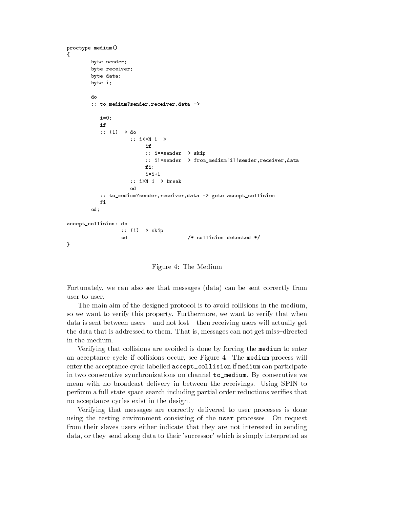```
proctype medium()
{byte sender;
       byte receiver;
       byte data;
       byte i;
      do:: to_medium?sender,receiver,data ->
         i=0:
         if:: (1) -> do
                  :: i<=N-1 ->
                      if:: = sender -> skip
                      :: =: senade -> from_medium<sub>[i</sub>_jiender_jender.jpn=in_j
                      fi;i=i+1:: i>N-1 -> break
                  od:: to_medium?sender,receiver,data -> goto accept_collision
         f_iod;accept_collision: do
               :: \sim \sim \sim sm \sim \sim /* collision detected */
}
```
Figure 4: The Medium

Fortunately, we can also see that messages (data) can be sent correctly from user to user.

The main aim of the designed protocol is to avoid collisions in the medium, so we want to verify this property. Furthermore, we want to verify that when data is sent between users  $-$  and not lost  $-$  then receiving users will actually get the data that is addressed to them. That is, messages can not get miss-directed in the medium.

Verifying that collisions are avoided is done by forcing the medium to enter an acceptance cycle if collisions occur, see Figure 4. The medium process will enter the acceptance cycle labelled accept\_collision if medium can participate in two consecutive synchronizations on channel to\_medium. By consecutive we mean with no broadcast delivery in between the receivings. Using SPIN to perform a full state space search including partial order reductions veries that no acceptance cycles exist in the design.

Verifying that messages are correctly delivered to user processes is done using the testing environment consisting of the user processes. On request from their slaves users either indicate that they are not interested in sending data, or they send along data to their 'successor' which is simply interpreted as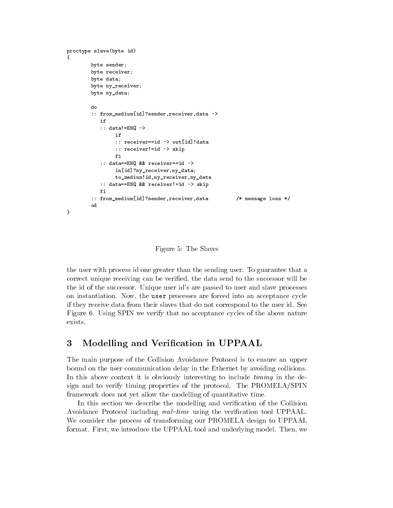```
proctype slave(byte id)
{byte sender;
         byte receiver;
         byte data;
         byte nyre vecenter;
         byte ny_data;
         do:: from_medium[id]?sender,receiver,data ->
            if:: data!=ENQ ->
                  if:: receiver==id -> out[id]!data
                  : 1 - : 2 - : 3 - : 3 - : 3 - : 3 - : 3 - : 3 - : 3 - : 3 - : 3 - : 3 - : 3 - : 3 - : 3 - : 3 - : 3 - : 3 - : 3 - : 3 - : 3 - : 3 - : 3 - : 3 - : 3 - : 3 - : 3 - : 3f_i:: data==ENQ && receiver==id ->
                  in[id]?ny_receiver,ny_data;to_medium!id,ny_receiver,ny_data\cdots data \cdots skip over 2000 \cdots . The receiver \cdotsfi
             -:: from_medium[id]?sender,receiver,data /* message loss */
         od
         od}
```
Figure 5: The Slaves

the user with process id one greater than the sending user. To guarantee that a correct unique receiving can be veried, the data send to the successor will be the id of the successor. Unique user id's are passed to user and slave processes on instantiation. Now, the user processes are forced into an acceptance cycle if they receive data from their slaves that do not correspond to the user id. See Figure 6. Using SPIN we verify that no acceptance cycles of the above nature exists.

#### 3 Modelling and Verification in UPPAAL

The main purpose of the Collision Avoidance Protocol is to ensure an upper bound on the user communication delay in the Ethernet by avoiding collisions. In this above context it is obviously interesting to include *timing* in the design and to verify timing properties of the protocol. The PROMELA/SPIN framework does not yet allow the modelling of quantitative time.

In this section we describe the modelling and verification of the Collision Avoidance Protocol including real-time using the verification tool UPPAAL. We consider the process of transforming our PROMELA design to UPPAAL format. First, we introduce the UPPAAL tool and underlying model. Then, we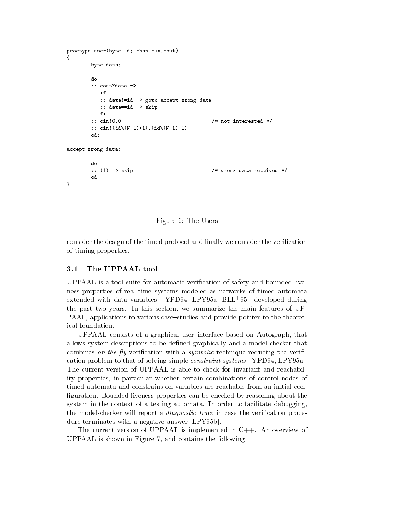```
processed in the interval court is a count of the count of the count of the count of the count of the count of
{byte data;
            doif:: data!=id -> goto accept_wrong_data
                 :: data skip - skip - skip - skip - skip - skip - skip - skip - skip - skip - skip - skip - skip - skip - skip
                fi
                 - -
            :: cin!0.0
                                                                        /* not interested */
            :: cin!(id%(N-1)+1),(id%(N-1)+1)
            od;accept_wrong_data:do:: (1) \rightarrow skip
                                                                        /* wrong data received */
            od}
```


consider the design of the timed protocol and finally we consider the verification of timing properties.

#### $3.1$ The UPPAAL tool

UPPAAL is a tool suite for automatic verication of safety and bounded liveness properties of real-time systems modeled as networks of timed automata extended with data variables | IPD94, LP-195a, DLL-95], developed during the past two years. In this section, we summarize the main features of UP-PAAL, applications to various case-studies and provide pointer to the theoretical foundation.

UPPAAL consists of a graphical user interface based on Autograph, that allows system descriptions to be dened graphically and a model-checker that combines on-the-fly verification with a symbolic technique reducing the verification problem to that of solving simple constraint systems [YPD94, LPY95a]. The current version of UPPAAL is able to check for invariant and reachability properties, in particular whether certain combinations of control-nodes of timed automata and constrains on variables are reachable from an initial con figuration. Bounded liveness properties can be checked by reasoning about the system in the context of a testing automata. In order to facilitate debugging, the model-checker will report a *diagnostic trace* in case the verification procedure terminates with a negative answer [LPY95b].

The current version of UPPAAL is implemented in C++. An overview of UPPAAL is shown in Figure 7, and contains the following: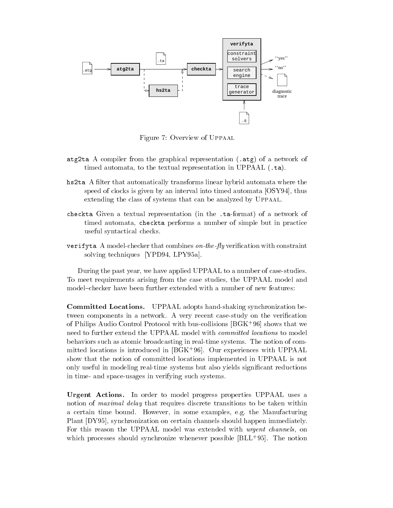

Figure 7: Overview of Uppaal

- at the and the compiler from the graphical representation (.at  $\mathcal{P}_\mathbf{z}$  of a network of a network of  $\mathcal{P}_\mathbf{z}$ timed automata, to the textual representation in UPPAAL (.ta).
- hs2ta A lter that automatically transforms linear hybrid automata where the speed of clocks is given by an interval into timed automata [OSY94], thus extending the class of systems that can be analyzed by Uppaal.
- checkta Given a textual representation (in the .ta-format) of a network of timed automata, checkta performs a number of simple but in practice useful syntactical checks.
- veright a model-checker that computed on the particle with constraint computer  $\sim$ solving techniques [YPD94, LPY95a].

During the past year, we have applied UPPAAL to a number of case-studies. To meet requirements arising from the case studies, the UPPAAL model and model-checker have been further extended with a number of new features:

Committed Locations. UPPAAL adopts hand-shaking synchronization between components in a network. A very recent case-study on the verication of Philips Audio Control Protocol with bus-collisions [BGK<sup>+</sup> 96] shows that we need to further extend the UPPAAL model with *committed locations* to model behaviors such as atomic broadcasting in real-time systems. The notion of com- $\min$  de locations is introduced in  $|\texttt{DGR+90}|$ . Our experiences with UPPAAL show that the notion of committed locations implemented in UPPAAL is not only useful in modeling real-time systems but also yields signicant reductions in time- and space-usages in verifying such systems.

Urgent Actions. In order to model progress properties UPPAAL uses a notion of *maximal delay* that requires discrete transitions to be taken within a certain time bound. However, in some examples, e.g. the Manufacturing Plant [DY95], synchronization on certain channels should happen immediately. For this reason the UPPAAL model was extended with *urgent channels*, on which processes should synchronize whenever possible [BLL<sup>+</sup> 95]. The notion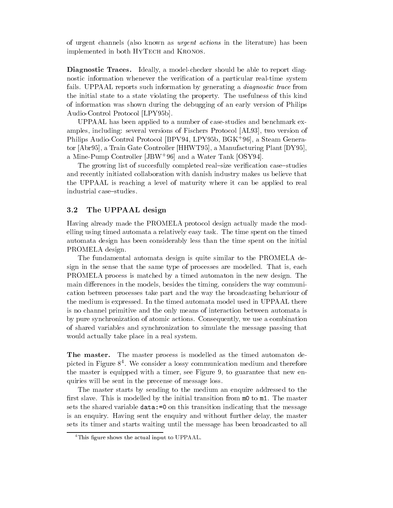of urgent channels (also known as *urgent actions* in the literature) has been implemented in both HYTECH and KRONOS.

Diagnostic Traces. Ideally, a model-checker should be able to report diagnostic information whenever the verification of a particular real-time system fails. UPPAAL reports such information by generating a *diagnostic trace* from the initial state to a state violating the property. The usefulness of this kind of information was shown during the debugging of an early version of Philips Audio-Control Protocol [LPY95b].

UPPAAL has been applied to a number of case-studies and benchmark examples, including: several versions of Fischers Protocol [AL93], two version of Philips Audio-Control Protocol [BPV94, LPY95b, BGK<sup>+</sup> 96], a Steam Generator [Abr95], a Train Gate Controller [HHWT95], a Manufacturing Plant [DY95], a Mine-Pump Controller [JBW+ 96] and a Water Tank [OSY94].

The growing list of succesfully completed real-size verification case-studies and recently initiated collaboration with danish industry makes us believe that the UPPAAL is reaching a level of maturity where it can be applied to real industrial case-studies.

### 3.2 The UPPAAL design

Having already made the PROMELA protocol design actually made the modelling using timed automata a relatively easy task. The time spent on the timed automata design has been considerably less than the time spent on the initial PROMELA design.

The fundamental automata design is quite similar to the PROMELA design in the sense that the same type of processes are modelled. That is, each PROMELA process is matched by a timed automaton in the new design. The main differences in the models, besides the timing, considers the way communication between processes take part and the way the broadcasting behaviour of the medium is expressed. In the timed automata model used in UPPAAL there is no channel primitive and the only means of interaction between automata is by pure synchronization of atomic actions. Consequently, we use a combination of shared variables and synchronization to simulate the message passing that would actually take place in a real system.

The master. The master process is modelled as the timed automaton depicted in Figure 84 . We consider a lossy communication medium and therefore the master is equipped with a timer, see Figure 9, to guarantee that new enquiries will be sent in the precense of message loss.

The master starts by sending to the medium an enquire addressed to the first slave. This is modelled by the initial transition from m0 to m1. The master sets the shared variable data:=0 on this transition indicating that the message is an enquiry. Having sent the enquiry and without further delay, the master sets its timer and starts waiting until the message has been broadcasted to all

<sup>&</sup>lt;sup>4</sup>This figure shows the actual input to UPPAAL.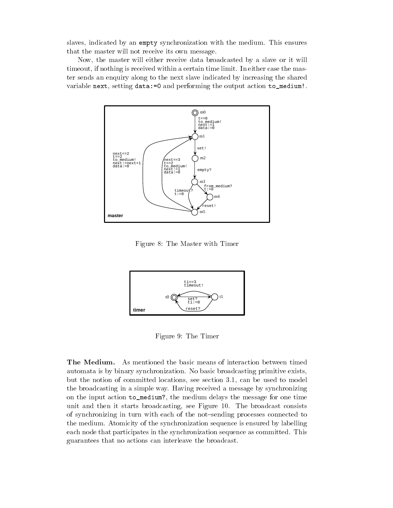slaves, indicated by an empty synchronization with the medium. This ensures that the master will not receive its own message.

Now, the master will either receive data broadcasted by a slave or it will timeout, if nothing is received within a certain time limit. In either case the master sends an enquiry along to the next slave indicated by increasing the shared variable next, setting data:=0 and performing the output action to\_medium!.



Figure 8: The Master with Timer



Figure 9: The Timer

The Medium. As mentioned the basic means of interaction between timed automata is by binary synchronization. No basic broadcasting primitive exists, but the notion of committed locations, see section 3.1, can be used to model the broadcasting in a simple way. Having received a message by synchronizing on the input action to\_medium?, the medium delays the message for one time unit and then it starts broadcasting, see Figure 10. The broadcast consists of synchronizing in turn with each of the not{sending processes connected to the medium. Atomicity of the synchronization sequence is ensured by labelling each node that participates in the synchronization sequence as committed. This guarantees that no actions can interleave the broadcast.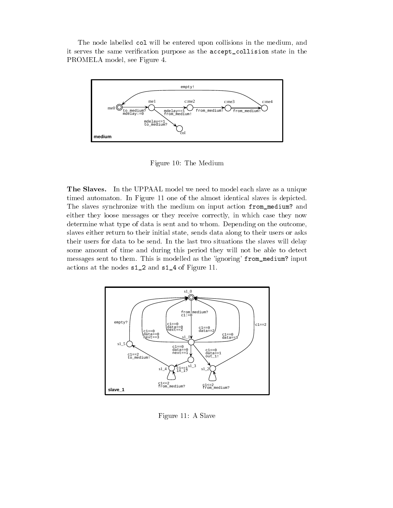The node labelled col will be entered upon collisions in the medium, and it serves the same verification purpose as the accept\_collision state in the PROMELA model, see Figure 4.



Figure 10: The Medium

The Slaves. In the UPPAAL model we need to model each slave as a unique timed automaton. In Figure 11 one of the almost identical slaves is depicted. The slaves synchronize with the medium on input action from\_medium? and either they loose messages or they receive correctly, in which case they now determine what type of data is sent and to whom. Depending on the outcome, slaves either return to their initial state, sends data along to their users or asks their users for data to be send. In the last two situations the slaves will delay some amount of time and during this period they will not be able to detect messages sent to them. This is modelled as the 'ignoring' from\_medium? input actions at the nodes s1\_2 and s1\_4 of Figure 11.



Figure 11: A Slave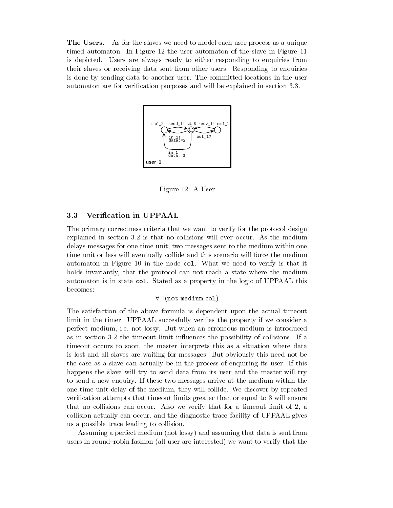The Users. As for the slaves we need to model each user process as a unique timed automaton. In Figure 12 the user automaton of the slave in Figure 11 is depicted. Users are always ready to either responding to enquiries from their slaves or receiving data sent from other users. Responding to enquiries is done by sending data to another user. The committed locations in the user automaton are for verification purposes and will be explained in section 3.3.



Figure 12: A User

### 3.3 Verication in UPPAAL

The primary correctness criteria that we want to verify for the protocol design explained in section 3.2 is that no collisions will ever occur. As the medium delays messages for one time unit, two messages sent to the medium within one time unit or less will eventually collide and this scenario will force the medium automaton in Figure 10 in the node col. What we need to verify is that it holds invariantly, that the protocol can not reach a state where the medium automaton is in state col. Stated as a property in the logic of UPPAAL this becomes:

### $\forall \Box$ (not medium.col)

The satisfaction of the above formula is dependent upon the actual timeout limit in the timer. UPPAAL succesfully verifies the property if we consider a perfect medium, i.e. not lossy. But when an erroneous medium is introduced as in section 3.2 the timeout limit influences the possibility of collisions. If a timeout occurs to soon, the master interprets this as a situation where data is lost and all slaves are waiting for messages. But obviously this need not be the case as a slave can actually be in the process of enquiring its user. If this happens the slave will try to send data from its user and the master will try to send a new enquiry. If these two messages arrive at the medium within the one time unit delay of the medium, they will collide. We discover by repeated verification attempts that timeout limits greater than or equal to 3 will ensure that no collisions can occur. Also we verify that for a timeout limit of 2, a collision actually can occur, and the diagnostic trace facility of UPPAAL gives us a possible trace leading to collision.

Assuming a perfect medium (not lossy) and assuming that data is sent from users in round-robin fashion (all user are interested) we want to verify that the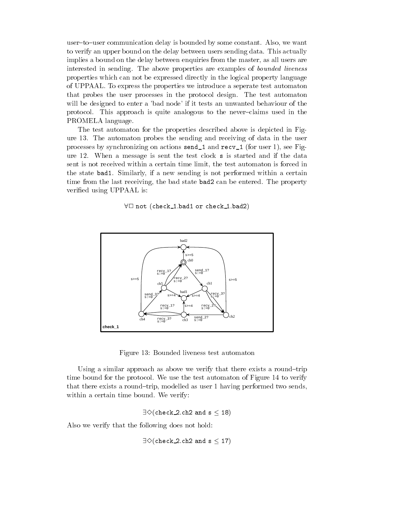user-to-user communication delay is bounded by some constant. Also, we want to verify an upper bound on the delay between users sending data. This actually implies a bound on the delay between enquiries from the master, as all users are interested in sending. The above properties are examples of bounded liveness properties which can not be expressed directly in the logical property language of UPPAAL. To express the properties we introduce a seperate test automaton that probes the user processes in the protocol design. The test automaton will be designed to enter a 'bad node' if it tests an unwanted behaviour of the protocol. This approach is quite analogous to the never-claims used in the PROMELA language.

The test automaton for the properties described above is depicted in Figure 13. The automaton probes the sending and receiving of data in the user processes by synchronizing on actions send\_1 and recv\_1 (for user 1), see Figure 12. When a message is sent the test clock <sup>s</sup> is started and if the data sent is not received within a certain time limit, the test automaton is forced in the state bad1. Similarly, if a new sending is not performed within a certain time from the last receiving, the bad state bad2 can be entered. The property veried using UPPAAL is:

 $\forall \Box$  not (check 1.bad1 or check 1.bad2)



Figure 13: Bounded liveness test automaton

Using a similar approach as above we verify that there exists a round-trip time bound for the protocol. We use the test automaton of Figure 14 to verify that there exists a round-trip, modelled as user  $1$  having performed two sends, within a certain time bound. We verify:

$$
\exists \diamondsuit (\texttt{check\_2.ch2 and s} \leq \texttt{18})
$$

Also we verify that the following does not hold:

 $\exists \diamondsuit$ (check\_2.ch2 and s  $\leq$  17)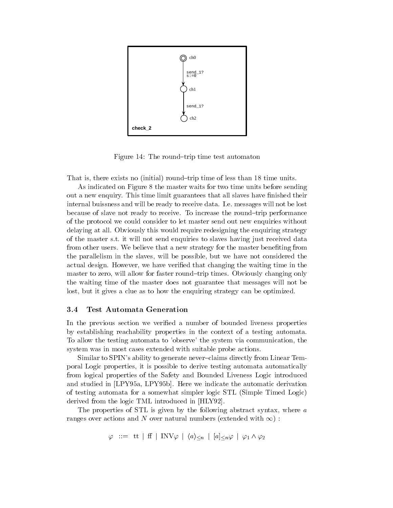

Figure 14: The round-trip time test automaton

That is, there exists no (initial) round-trip time of less than 18 time units.

As indicated on Figure 8 the master waits for two time units before sending out a new enquiry. This time limit guarantees that all slaves have finished their internal buissness and will be ready to receive data. I.e. messages will not be lost because of slave not ready to receive. To increase the round-trip performance of the protocol we could consider to let master send out new enquiries without delaying at all. Obviously this would require redesigning the enquiring strategy of the master s.t. it will not send enquiries to slaves having just received data from other users. We believe that a new strategy for the master beneting from the parallelism in the slaves, will be possible, but we have not considered the actual design. However, we have veried that changing the waiting time in the master to zero, will allow for faster round-trip times. Obviously changing only the waiting time of the master does not guarantee that messages will not be lost, but it gives a clue as to how the enquiring strategy can be optimized.

### 3.4 Test Automata Generation

In the previous section we verified a number of bounded liveness properties by establishing reachability properties in the context of a testing automata. To allow the testing automata to 'observe' the system via communication, the system was in most cases extended with suitable probe actions.

Similar to SPIN's ability to generate never-claims directly from Linear Temporal Logic properties, it is possible to derive testing automata automatically from logical properties of the Safety and Bounded Liveness Logic introduced and studied in [LPY95a, LPY95b]. Here we indicate the automatic derivation of testing automata for a somewhat simpler logic STL (Simple Timed Logic) derived from the logic TML introduced in [HLY92].

The properties of STL is given by the following abstract syntax, where a ranges over actions and N over natural numbers (extended with  $\infty$ ) :

 $\varphi$  ::= tt | ff | INV $\varphi$  |  $\langle a \rangle_{\leq n}$  |  $[a]_{\leq n} \varphi$  |  $\varphi_1 \wedge \varphi_2$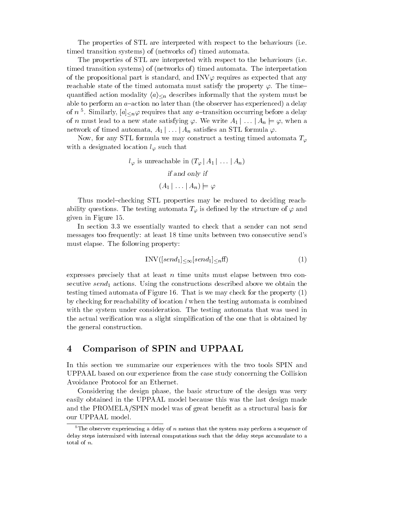The properties of STL are interpreted with respect to the behaviours (i.e. timed transition systems) of (networks of) timed automata.

The properties of STL are interpreted with respect to the behaviours (i.e. timed transition systems) of (networks of ) timed automata. The interpretation of the propositional part is standard, and INV $\varphi$  requires as expected that any reachable state of the timed automata must satisfy the property  $\varphi$ . The timequantified action modality  $\langle a \rangle_{\leq n}$  describes informally that the system must be able to perform an  $a$ -action no later than (the observer has experienced) a delay of  $n$   $\degree$  . Similarly,  $|a|_{\le n}\varphi$  requires that any  $a-$ transition occurring before a delay of n must lead to a new state satisfying  $\varphi$ . We write  $A_1 | \dots | A_n \models \varphi$ , when a network of timed automata,  $A_1 | \ldots | A_n$  satisfies an STL formula  $\varphi$ .

Now, for any STL formula we may construct a testing timed automata  $T_{\varphi}$ with a designated location  $l_{\varphi}$  such that

$$
l_{\varphi}
$$
 is unreachable in  $(T_{\varphi} | A_1 | \dots | A_n)$   
if and only if  
 $(A_1 | \dots | A_n) \models \varphi$ 

Thus model-checking STL properties may be reduced to deciding reachability questions. The testing automata  $T_{\varphi}$  is defined by the structure of  $\varphi$  and given in Figure 15.

In section 3.3 we essentially wanted to check that a sender can not send messages too frequently: at least 18 time units between two consecutive send's must elapse. The following property:

$$
INV([send_1]_{< \infty}[send_1]_{< n} \text{ff})
$$
\n<sup>(1)</sup>

expresses precisely that at least  $n$  time units must elapse between two consecutive send<sub>1</sub> actions. Using the constructions described above we obtain the testing timed automata of Figure 16. That is we may check for the property (1) by checking for reachability of location  $l$  when the testing automata is combined with the system under consideration. The testing automata that was used in the actual verication was a slight simplication of the one that is obtained by the general construction.

# 4 Comparison of SPIN and UPPAAL

In this section we summarize our experiences with the two tools SPIN and UPPAAL based on our experience from the case study concerning the Collision Avoidance Protocol for an Ethernet.

Considering the design phase, the basic structure of the design was very easily obtained in the UPPAAL model because this was the last design made and the PROMELA/SPIN model was of great benefit as a structural basis for our UPPAAL model.

 $5$ The observer experiencing a delay of n means that the system may perform a sequence of delay steps intermixed with internal computations such that the delay steps accumulate to a total of n.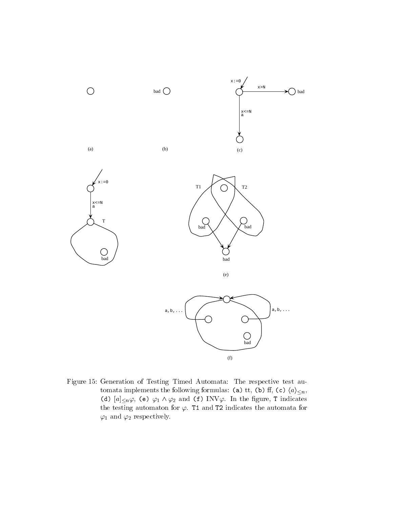

Figure 15: Generation of Testing Timed Automata: The respective test automata implements the following formulas: (a) tt, (b) ff, (c)  $\langle a \rangle_{\leq n}$ , (d)  $[a]<sub>n</sub>\varphi$ , (e)  $\varphi_1 \wedge \varphi_2$  and (f) INV $\varphi$ . In the figure, I indicates the testing automaton for  $\varphi$ . T1 and T2 indicates the automata for  $\varphi_1$  and  $\varphi_2$  respectively.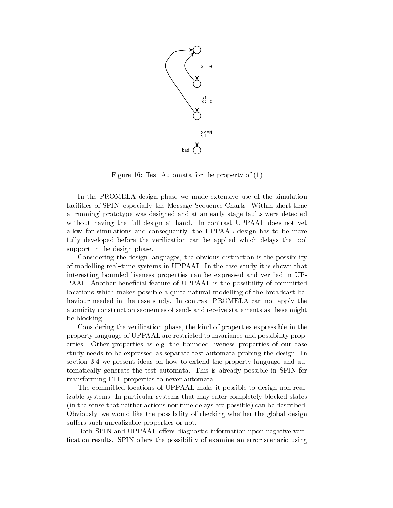

Figure 16: Test Automata for the property of (1)

In the PROMELA design phase we made extensive use of the simulation facilities of SPIN, especially the Message Sequence Charts. Within short time a 'running' prototype was designed and at an early stage faults were detected without having the full design at hand. In contrast UPPAAL does not yet allow for simulations and consequently, the UPPAAL design has to be more fully developed before the verification can be applied which delays the tool support in the design phase.

Considering the design languages, the obvious distinction is the possibility of modelling real-time systems in UPPAAL. In the case study it is shown that interesting bounded liveness properties can be expressed and verified in UP-PAAL. Another beneficial feature of UPPAAL is the possibility of committed locations which makes possible a quite natural modelling of the broadcast behaviour needed in the case study. In contrast PROMELA can not apply the atomicity construct on sequences of send- and receive statements as these might be blocking.

Considering the verication phase, the kind of properties expressible in the property language of UPPAAL are restricted to invariance and possibility properties. Other properties as e.g. the bounded liveness properties of our case study needs to be expressed as separate test automata probing the design. In section 3.4 we present ideas on how to extend the property language and automatically generate the test automata. This is already possible in SPIN for transforming LTL properties to never automata.

The committed locations of UPPAAL make it possible to design non realizable systems. In particular systems that may enter completely blocked states (in the sense that neither actions nor time delays are possible) can be described. Obviously, we would like the possibility of checking whether the global design suffers such unrealizable properties or not.

Both SPIN and UPPAAL offers diagnostic information upon negative verification results. SPIN offers the possibility of examine an error scenario using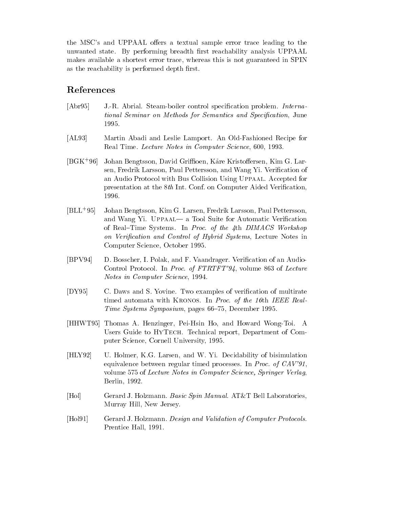the MSC's and UPPAAL offers a textual sample error trace leading to the unwanted state. By performing breadth first reachability analysis UPPAAL makes available a shortest error trace, whereas this is not guaranteed in SPIN as the reachability is performed depth first.

# References

- [Abr95] J.-R. Abrial. Steam-boiler control specication problem. International Seminar on Methods for Semantics and Specification, June 1995.
- [AL93] Martin Abadi and Leslie Lamport. An Old-Fashioned Recipe for Real Time. Lecture Notes in Computer Science, 600, 1993.
- $[BGK+96]$ Johan Bengtsson, David Griffioen, Kåre Kristoffersen, Kim G. Larsen, Fredrik Larsson, Paul Pettersson, and Wang Yi. Verification of an Audio Protocol with Bus Collision Using Uppaal. Accepted for presentation at the  $8th$  Int. Conf. on Computer Aided Verification, 1996.
- $|BLL+95|$ 95] Johan Bengtsson, Kim G. Larsen, Fredrik Larsson, Paul Pettersson, and Wang Yi. UPPAAL— a Tool Suite for Automatic Verification of Real-Time Systems. In Proc. of the 4th DIMACS Workshop on Verification and Control of Hybrid Systems, Lecture Notes in Computer Science, October 1995.
- [BPV94] D. Bosscher, I. Polak, and F. Vaandrager. Verification of an Audio-Control Protocol. In Proc. of FTRTFT'94, volume 863 of Lecture Notes in Computer Science, 1994.
- [DY95] C. Daws and S. Yovine. Two examples of verification of multirate timed automata with KRONOS. In Proc. of the 16th IEEE Real-Time Systems Symposium, pages 66-75, December 1995.
- [HHWT95] Thomas A. Henzinger, Pei-Hsin Ho, and Howard Wong-Toi. A Users Guide to HYTECH. Technical report, Department of Computer Science, Cornell University, 1995.
- [HLY92] U. Holmer, K.G. Larsen, and W. Yi. Decidability of bisimulation equivalence between regular timed processes. In Proc. of CAV'91, volume 575 of Lecture Notes in Computer Science, Springer Verlag, Berlin, 1992.
- [Hol] Gerard J. Holzmann. Basic Spin Manual. AT&T Bell Laboratories, Murray Hill, New Jersey.
- [Hol91] Gerard J. Holzmann. Design and Validation of Computer Protocols. Prentice Hall, 1991.